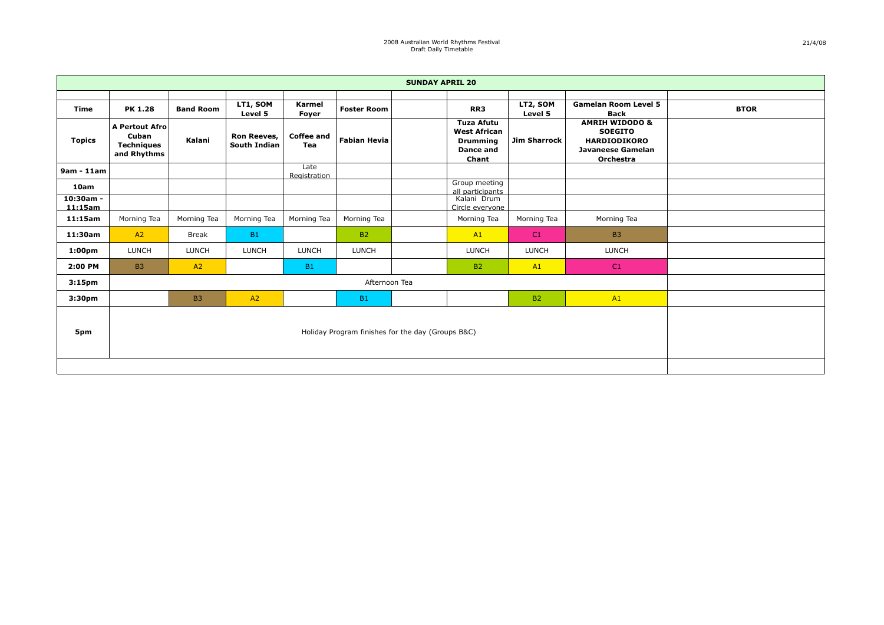| <b>SUNDAY APRIL 20</b> |                                                                    |                  |                                           |                          |                     |                                                                                   |                     |                                                                                                                    |             |  |
|------------------------|--------------------------------------------------------------------|------------------|-------------------------------------------|--------------------------|---------------------|-----------------------------------------------------------------------------------|---------------------|--------------------------------------------------------------------------------------------------------------------|-------------|--|
|                        |                                                                    |                  |                                           |                          |                     |                                                                                   |                     |                                                                                                                    |             |  |
| <b>Time</b>            | <b>PK 1.28</b>                                                     | <b>Band Room</b> | LT1, SOM<br>Level 5                       | Karmel<br>Foyer          | <b>Foster Room</b>  | RR3                                                                               | LT2, SOM<br>Level 5 | <b>Gamelan Room Level 5</b><br><b>Back</b>                                                                         | <b>BTOR</b> |  |
| <b>Topics</b>          | <b>A Pertout Afro</b><br>Cuban<br><b>Techniques</b><br>and Rhythms | Kalani           | <b>Ron Reeves,</b><br><b>South Indian</b> | <b>Coffee and</b><br>Tea | <b>Fabian Hevia</b> | <b>Tuza Afutu</b><br><b>West African</b><br><b>Drumming</b><br>Dance and<br>Chant | <b>Jim Sharrock</b> | <b>AMRIH WIDODO &amp;</b><br><b>SOEGITO</b><br><b>HARDIODIKORO</b><br><b>Javaneese Gamelan</b><br><b>Orchestra</b> |             |  |
| $9am - 11am$           |                                                                    |                  |                                           | Late<br>Registration     |                     |                                                                                   |                     |                                                                                                                    |             |  |
| 10am                   |                                                                    |                  |                                           |                          |                     | Group meeting<br>all participants                                                 |                     |                                                                                                                    |             |  |
| $10:30am -$<br>11:15am |                                                                    |                  |                                           |                          |                     | Kalani Drum<br>Circle evervone                                                    |                     |                                                                                                                    |             |  |
| 11:15am                | Morning Tea                                                        | Morning Tea      | Morning Tea                               | Morning Tea              | Morning Tea         | Morning Tea                                                                       | Morning Tea         | Morning Tea                                                                                                        |             |  |
| 11:30am                | A2                                                                 | <b>Break</b>     | <b>B1</b>                                 |                          | <b>B2</b>           | A1                                                                                | C1                  | <b>B3</b>                                                                                                          |             |  |
| 1:00 <sub>pm</sub>     | <b>LUNCH</b>                                                       | <b>LUNCH</b>     | <b>LUNCH</b>                              | <b>LUNCH</b>             | <b>LUNCH</b>        | <b>LUNCH</b>                                                                      | <b>LUNCH</b>        | <b>LUNCH</b>                                                                                                       |             |  |
| 2:00 PM                | <b>B3</b>                                                          | A2               |                                           | <b>B1</b>                |                     | <b>B2</b>                                                                         | A1                  | C1                                                                                                                 |             |  |
| 3:15 <sub>pm</sub>     |                                                                    |                  |                                           |                          | Afternoon Tea       |                                                                                   |                     |                                                                                                                    |             |  |
| 3:30 <sub>pm</sub>     |                                                                    | <b>B3</b>        | A2                                        |                          | <b>B1</b>           |                                                                                   | <b>B2</b>           | A1                                                                                                                 |             |  |
| 5pm                    | Holiday Program finishes for the day (Groups B&C)                  |                  |                                           |                          |                     |                                                                                   |                     |                                                                                                                    |             |  |
|                        |                                                                    |                  |                                           |                          |                     |                                                                                   |                     |                                                                                                                    |             |  |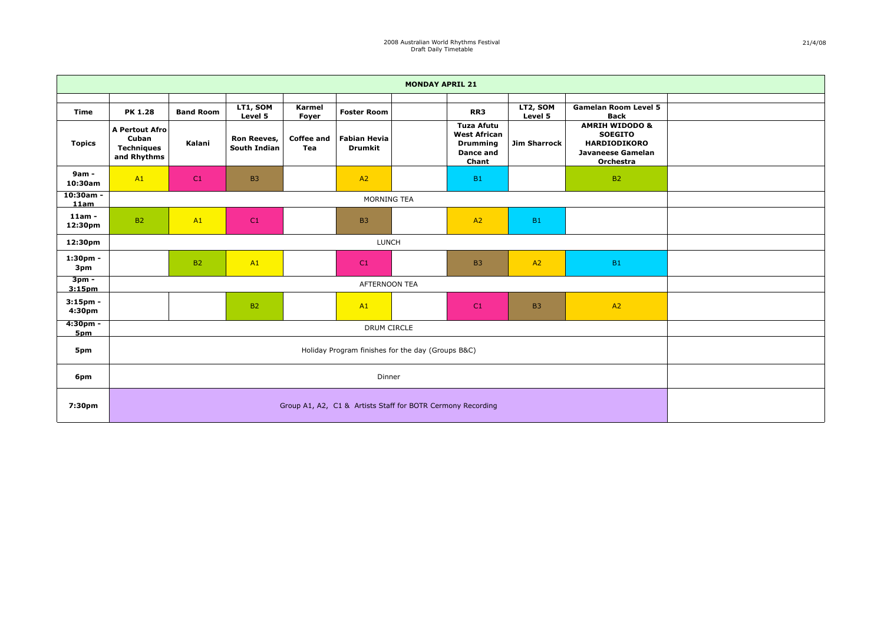| <b>MONDAY APRIL 21</b>        |                                                                    |                  |                             |                          |                                       |  |                                                                                   |                     |                                                                                                             |  |
|-------------------------------|--------------------------------------------------------------------|------------------|-----------------------------|--------------------------|---------------------------------------|--|-----------------------------------------------------------------------------------|---------------------|-------------------------------------------------------------------------------------------------------------|--|
| <b>Time</b>                   | <b>PK 1.28</b>                                                     | <b>Band Room</b> | LT1, SOM<br>Level 5         | Karmel<br>Foyer          | <b>Foster Room</b>                    |  | RR3                                                                               | LT2, SOM<br>Level 5 | <b>Gamelan Room Level 5</b><br><b>Back</b>                                                                  |  |
| <b>Topics</b>                 | <b>A Pertout Afro</b><br>Cuban<br><b>Techniques</b><br>and Rhythms | Kalani           | Ron Reeves,<br>South Indian | <b>Coffee and</b><br>Tea | <b>Fabian Hevia</b><br><b>Drumkit</b> |  | <b>Tuza Afutu</b><br><b>West African</b><br><b>Drumming</b><br>Dance and<br>Chant | <b>Jim Sharrock</b> | <b>AMRIH WIDODO &amp;</b><br><b>SOEGITO</b><br><b>HARDIODIKORO</b><br><b>Javaneese Gamelan</b><br>Orchestra |  |
| 9am -<br>10:30am              | A1                                                                 | C1               | <b>B3</b>                   |                          | A2                                    |  | <b>B1</b>                                                                         |                     | <b>B2</b>                                                                                                   |  |
| $10:30am -$<br>11am           | MORNING TEA                                                        |                  |                             |                          |                                       |  |                                                                                   |                     |                                                                                                             |  |
| $11am -$<br>12:30pm           | <b>B2</b>                                                          | A1               | C1                          |                          | <b>B3</b>                             |  | A2                                                                                | <b>B1</b>           |                                                                                                             |  |
| 12:30pm                       | <b>LUNCH</b>                                                       |                  |                             |                          |                                       |  |                                                                                   |                     |                                                                                                             |  |
| $1:30pm -$<br>3pm             |                                                                    | <b>B2</b>        | A1                          |                          | C1                                    |  | <b>B3</b>                                                                         | A2                  | <b>B1</b>                                                                                                   |  |
| $3pm -$<br>3:15 <sub>pm</sub> |                                                                    |                  |                             |                          | AFTERNOON TEA                         |  |                                                                                   |                     |                                                                                                             |  |
| $3:15$ pm -<br>4:30pm         | A2<br><b>B2</b><br>A1<br>C1<br><b>B3</b>                           |                  |                             |                          |                                       |  |                                                                                   |                     |                                                                                                             |  |
| $4:30pm -$<br>5pm             |                                                                    |                  |                             |                          | DRUM CIRCLE                           |  |                                                                                   |                     |                                                                                                             |  |
| 5pm                           | Holiday Program finishes for the day (Groups B&C)                  |                  |                             |                          |                                       |  |                                                                                   |                     |                                                                                                             |  |
| 6pm                           | Dinner                                                             |                  |                             |                          |                                       |  |                                                                                   |                     |                                                                                                             |  |
| 7:30pm                        | Group A1, A2, C1 & Artists Staff for BOTR Cermony Recording        |                  |                             |                          |                                       |  |                                                                                   |                     |                                                                                                             |  |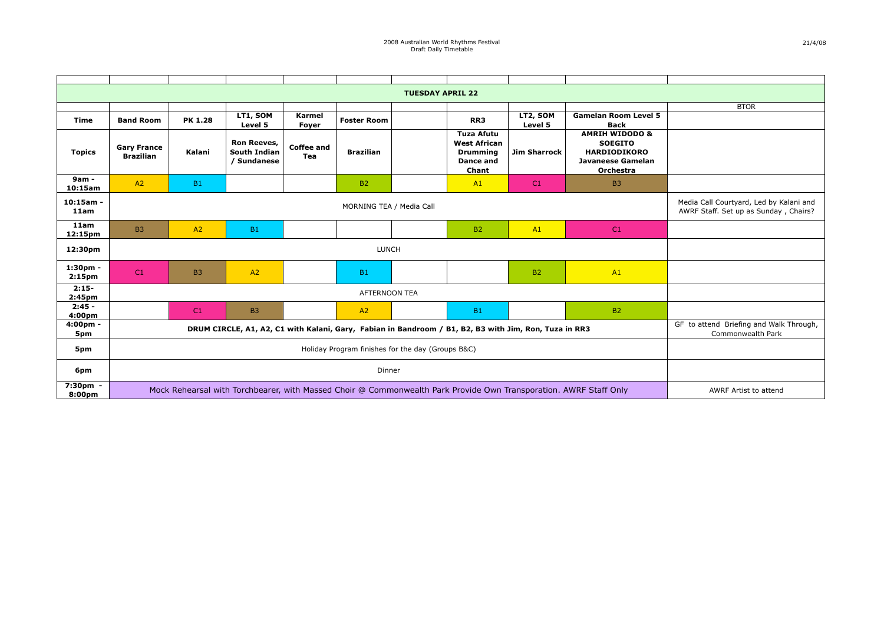| <b>TUESDAY APRIL 22</b>          |                                                                                                                   |                |                                                          |                          |                      |  |                                                                                          |                                                                                  |                                                                                                             |             |
|----------------------------------|-------------------------------------------------------------------------------------------------------------------|----------------|----------------------------------------------------------|--------------------------|----------------------|--|------------------------------------------------------------------------------------------|----------------------------------------------------------------------------------|-------------------------------------------------------------------------------------------------------------|-------------|
|                                  |                                                                                                                   |                |                                                          |                          |                      |  |                                                                                          |                                                                                  |                                                                                                             | <b>BTOR</b> |
| <b>Time</b>                      | <b>Band Room</b>                                                                                                  | <b>PK 1.28</b> | LT1, SOM<br>Level 5                                      | Karmel<br>Foyer          | <b>Foster Room</b>   |  | RR3                                                                                      | LT2, SOM<br>Level 5                                                              | <b>Gamelan Room Level 5</b><br><b>Back</b>                                                                  |             |
| <b>Topics</b>                    | <b>Gary France</b><br><b>Brazilian</b>                                                                            | Kalani         | <b>Ron Reeves,</b><br><b>South Indian</b><br>/ Sundanese | <b>Coffee and</b><br>Tea | <b>Brazilian</b>     |  | <b>Tuza Afutu</b><br><b>West African</b><br><b>Drumming</b><br><b>Dance and</b><br>Chant | <b>Jim Sharrock</b>                                                              | <b>AMRIH WIDODO &amp;</b><br><b>SOEGITO</b><br><b>HARDIODIKORO</b><br><b>Javaneese Gamelan</b><br>Orchestra |             |
| 9am -<br>10:15am                 | A2                                                                                                                | <b>B1</b>      |                                                          |                          | <b>B2</b>            |  | A1                                                                                       | C <sub>1</sub>                                                                   | <b>B3</b>                                                                                                   |             |
| $10:15am -$<br>11am              | MORNING TEA / Media Call                                                                                          |                |                                                          |                          |                      |  |                                                                                          | Media Call Courtyard, Led by Kalani and<br>AWRF Staff. Set up as Sunday, Chairs? |                                                                                                             |             |
| 11am<br>12:15pm                  | <b>B3</b>                                                                                                         | A2             | B1                                                       |                          |                      |  | <b>B2</b>                                                                                | A1                                                                               | C1                                                                                                          |             |
| 12:30pm                          | <b>LUNCH</b>                                                                                                      |                |                                                          |                          |                      |  |                                                                                          |                                                                                  |                                                                                                             |             |
| $1:30pm -$<br>2:15 <sub>pm</sub> | C1                                                                                                                | B <sub>3</sub> | A2                                                       |                          | <b>B1</b>            |  |                                                                                          | <b>B2</b>                                                                        | A1                                                                                                          |             |
| $2:15-$<br>2:45 <sub>pm</sub>    |                                                                                                                   |                |                                                          |                          | <b>AFTERNOON TEA</b> |  |                                                                                          |                                                                                  |                                                                                                             |             |
| $2:45 -$<br>4:00 <sub>pm</sub>   |                                                                                                                   | C1             | B <sub>3</sub>                                           |                          | A2                   |  | <b>B1</b>                                                                                |                                                                                  | <b>B2</b>                                                                                                   |             |
| 4:00pm -<br>5pm                  | DRUM CIRCLE, A1, A2, C1 with Kalani, Gary, Fabian in Bandroom / B1, B2, B3 with Jim, Ron, Tuza in RR3             |                |                                                          |                          |                      |  |                                                                                          |                                                                                  | GF to attend Briefing and Walk Through,<br>Commonwealth Park                                                |             |
| 5pm                              | Holiday Program finishes for the day (Groups B&C)                                                                 |                |                                                          |                          |                      |  |                                                                                          |                                                                                  |                                                                                                             |             |
| 6pm                              | Dinner                                                                                                            |                |                                                          |                          |                      |  |                                                                                          |                                                                                  |                                                                                                             |             |
| 7:30pm -<br>8:00pm               | Mock Rehearsal with Torchbearer, with Massed Choir @ Commonwealth Park Provide Own Transporation. AWRF Staff Only |                |                                                          |                          |                      |  |                                                                                          |                                                                                  | AWRF Artist to attend                                                                                       |             |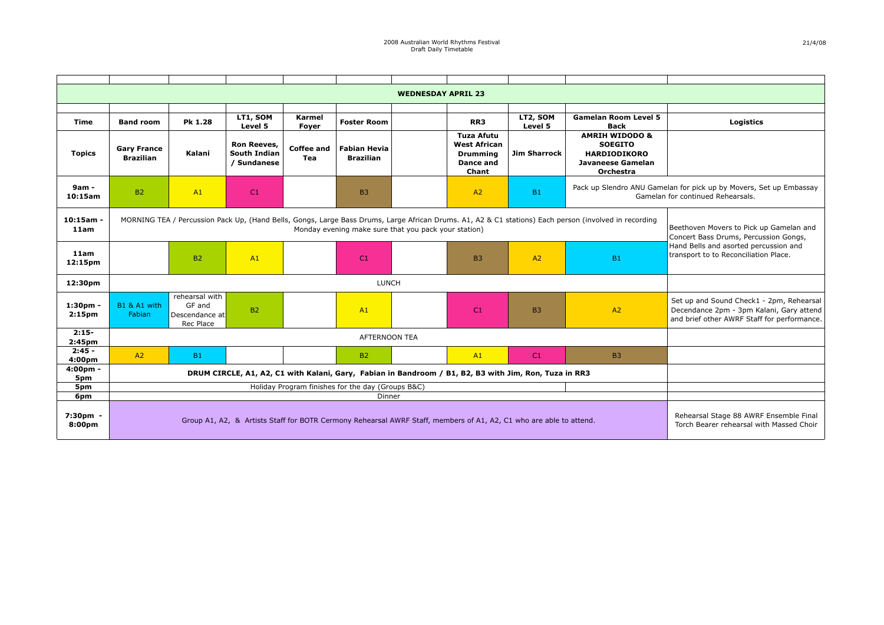| <b>WEDNESDAY APRIL 23</b>      |                                                                                                                                                                                                               |                                                         |                                                          |                          |                                         |  |                                                                            |                     |                                                                                                      |                                                                                                                                     |
|--------------------------------|---------------------------------------------------------------------------------------------------------------------------------------------------------------------------------------------------------------|---------------------------------------------------------|----------------------------------------------------------|--------------------------|-----------------------------------------|--|----------------------------------------------------------------------------|---------------------|------------------------------------------------------------------------------------------------------|-------------------------------------------------------------------------------------------------------------------------------------|
|                                |                                                                                                                                                                                                               |                                                         |                                                          |                          |                                         |  |                                                                            |                     |                                                                                                      |                                                                                                                                     |
| Time                           | <b>Band room</b>                                                                                                                                                                                              | Pk 1.28                                                 | LT1, SOM<br>Level 5                                      | Karmel<br>Fover          | <b>Foster Room</b>                      |  | RR3                                                                        | LT2, SOM<br>Level 5 | <b>Gamelan Room Level 5</b><br><b>Back</b>                                                           | <b>Logistics</b>                                                                                                                    |
| <b>Topics</b>                  | <b>Gary France</b><br><b>Brazilian</b>                                                                                                                                                                        | Kalani                                                  | <b>Ron Reeves,</b><br><b>South Indian</b><br>/ Sundanese | <b>Coffee and</b><br>Tea | <b>Fabian Hevia</b><br><b>Brazilian</b> |  | Tuza Afutu<br><b>West African</b><br><b>Drumming</b><br>Dance and<br>Chant | <b>Jim Sharrock</b> | <b>AMRIH WIDODO &amp;</b><br><b>SOEGITO</b><br><b>HARDIODIKORO</b><br>Javaneese Gamelan<br>Orchestra |                                                                                                                                     |
| 9am -<br>10:15am               | <b>B2</b>                                                                                                                                                                                                     | A1                                                      | C <sub>1</sub>                                           |                          | <b>B3</b>                               |  | A2                                                                         | <b>B1</b>           |                                                                                                      | Pack up Slendro ANU Gamelan for pick up by Movers, Set up Embassay<br>Gamelan for continued Rehearsals.                             |
| $10:15am -$<br>11am            | MORNING TEA / Percussion Pack Up, (Hand Bells, Gongs, Large Bass Drums, Large African Drums. A1, A2 & C1 stations) Each person (involved in recording<br>Monday evening make sure that you pack your station) |                                                         |                                                          |                          |                                         |  |                                                                            |                     |                                                                                                      | Beethoven Movers to Pick up Gamelan and<br>Concert Bass Drums, Percussion Gongs,                                                    |
| 11am<br>12:15 <sub>pm</sub>    |                                                                                                                                                                                                               | <b>B2</b>                                               | A1                                                       |                          | C <sub>1</sub>                          |  | <b>B3</b>                                                                  | A2                  | <b>B1</b>                                                                                            | Hand Bells and asorted percussion and<br>transport to to Reconciliation Place.                                                      |
| 12:30pm                        |                                                                                                                                                                                                               |                                                         |                                                          |                          | <b>LUNCH</b>                            |  |                                                                            |                     |                                                                                                      |                                                                                                                                     |
| 1:30pm -<br>2:15 <sub>pm</sub> | B1 & A1 with<br>Fabian                                                                                                                                                                                        | rehearsal with<br>GF and<br>Descendance at<br>Rec Place | <b>B2</b>                                                |                          | A1                                      |  | C <sub>1</sub>                                                             | <b>B3</b>           | A2                                                                                                   | Set up and Sound Check1 - 2pm, Rehearsal<br>Decendance 2pm - 3pm Kalani, Gary attend<br>and brief other AWRF Staff for performance. |
| $2:15-$<br>2:45 <sub>pm</sub>  |                                                                                                                                                                                                               |                                                         |                                                          |                          | <b>AFTERNOON TEA</b>                    |  |                                                                            |                     |                                                                                                      |                                                                                                                                     |
| $2:45 -$<br>4:00pm             | A2                                                                                                                                                                                                            | <b>B1</b>                                               |                                                          |                          | <b>B2</b>                               |  | A1                                                                         | C1                  | <b>B3</b>                                                                                            |                                                                                                                                     |
| 4:00pm -<br>5pm                | DRUM CIRCLE, A1, A2, C1 with Kalani, Gary, Fabian in Bandroom / B1, B2, B3 with Jim, Ron, Tuza in RR3                                                                                                         |                                                         |                                                          |                          |                                         |  |                                                                            |                     |                                                                                                      |                                                                                                                                     |
| 5pm                            | Holiday Program finishes for the day (Groups B&C)                                                                                                                                                             |                                                         |                                                          |                          |                                         |  |                                                                            |                     |                                                                                                      |                                                                                                                                     |
| 6pm                            |                                                                                                                                                                                                               |                                                         |                                                          |                          |                                         |  |                                                                            |                     |                                                                                                      |                                                                                                                                     |
| 7:30pm -<br>8:00pm             | Dinner<br>Group A1, A2, & Artists Staff for BOTR Cermony Rehearsal AWRF Staff, members of A1, A2, C1 who are able to attend.                                                                                  |                                                         |                                                          |                          |                                         |  |                                                                            |                     |                                                                                                      | Rehearsal Stage 88 AWRF Ensemble Final<br>Torch Bearer rehearsal with Massed Choir                                                  |